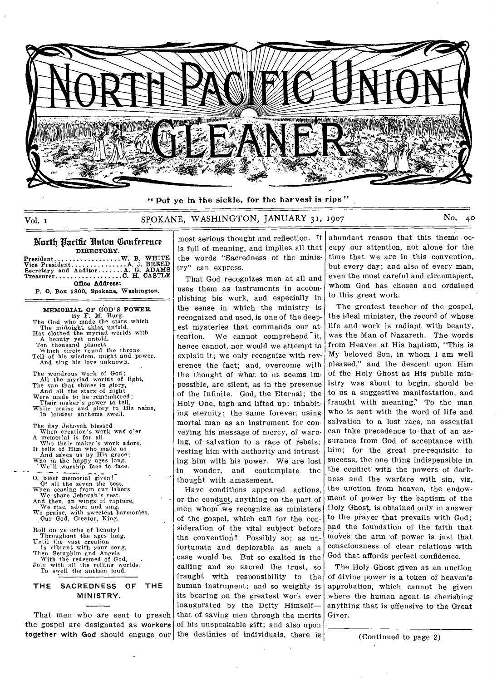

" Put ye in the sickle, for the harvest is ripe"

# Vol. i SPOKANE, WASHINGTON, JANUARY 31, 1907 No. 40

#### Narth Parific Union Conference DIRECTORY.

**President W. B. WHITE A JBREED Auditor AG. ADAMS**  C **H. CASTLE**  Office Address: **Vice President Secretary and Treasurer** 

P. **0.** Box **1800, Spokane, Washington.** 

# MEMORIAL OF GOD'S POWER. By F. M. Burg.<br>
The God who made the stars which<br>
The midnight skies unfold.<br>
Has clothed the myriad worlds with<br>
A beauty yet untold. Ten thousand planets Which circle round the throne

Tell of his wisdom, might and power, And sing his love unknown.

The wondrous work of God; All the myriad worlds of light, The sun that shines in glory,<br>
And all the stars of night<br>
Were made to be remembered;<br>
Their maker's power to tell,<br>
While praise and glory to His name,<br>
In loudest anthems swell.

The day Jehovah blessed When creation's work wag o'er A memorial is for all Who their maker's work adore. It tells of Him who made us And saves us by His grace; Who in the happy ages long, We'll worship face to face.

0, blest memorial given! Of all the seven the best. When ceasing from our labors<br>
We share Jehovah's rest,<br>
And then, on wings of rapture,<br>
We rise, adore and sing,<br>
We praise, with sweetest harmonies,<br>
We praise, with sweetest harmonies,<br>
Our God, Creator, King.

Roll on ye orbs of beauty! Throughout the ages long, Until the vast creation<br>
Is vibrant with your song. Then Seraphim and Angels<br>With the redeemed of God,<br>Join with all the rolling worlds, To swell the anthem loud.

## THE SACREDNESS OF THE MINISTRY.

That men who are sent to preach the gospel are designated as workers together with God should engage our

most serious thought and reflection. It is full of meaning, and implies all that the words "Sacredness of the ministry" can express.

That God recognizes men at all and uses them as instruments in accomplishing his work, and especially in the sense in which the ministry is recognized and used, is one of the deepest mysteries that commands our attention. We cannot comprehend it, hence cannot, nor would we attempt to explain it; we only recognize with reverence the fact; and, overcome with the thought of what to us seems im, possible, are silent, as in the presence of the Infinite. God, the Eternal; the Holy One, high and lifted up; inhabiting eternity; the same forever, using mortal man as an instrument for conveying his message of mercy, of warning, of salvation to a race of rebels; vesting him with authority and intrusting him with his power. We are lost<br>in wonder, and contemplate the wonder, and contemplate the thought with amazement.

Have conditions appeared—actions, or the conduct, anything on the part of men whom we recognize as ministers of the gospel, which call for the consideration of the vital subject before the convention? Possibly so; as unfortunate and deplorable as such a case would be. But so exalted is the calling and so sacred the trust, so fraught with responsibility to the human instrument; and so weighty is its bearing on the greatest work ever inaugurated by the Deity Himself that of saving men through the merits of his unspeakable gift; and also upon the destinies of individuals, there is

abundant reason that this theme occupy our attention, not alone for the time that we are in this convention, but every day; and also of every man, even the most careful and circumspect, whom God has chosen and ordained to this great work.

The greatest teacher of the gospel, the ideal minister, the record of whose life and work is radiant with beauty, Was the Man of Nazareth. The words from Heaven at His baptism, "This is My beloved Son, in whom I am well pleased," and the descent upon Him of the Holy Ghost as His public ministry was about to begin, should be to us a suggestive manifestation, and fraught with meaning.' To the man who is sent with the word of life and salvation to a lost race, no essential can take precedence to that of an assurance from God of acceptance with him; for the great pre-requisite to success, the one thing indispensible in the conflict with the powers of darkness and the warfare with sin, viz, the unction from heaven, the endowment of power by the baptism of the Holy Ghost, is obtained only in answer to the prayer that prevails with God; and the foundation of the faith that moves the arm of power is just that consciousness of clear relations with God that affords perfect confidence.

The Holy Ghost given as an unction of divine power is a token of heaven's approbation, which cannot be given where the human agent is cherishing anything that is offensive to the Great Giver.

(Continued to page 2)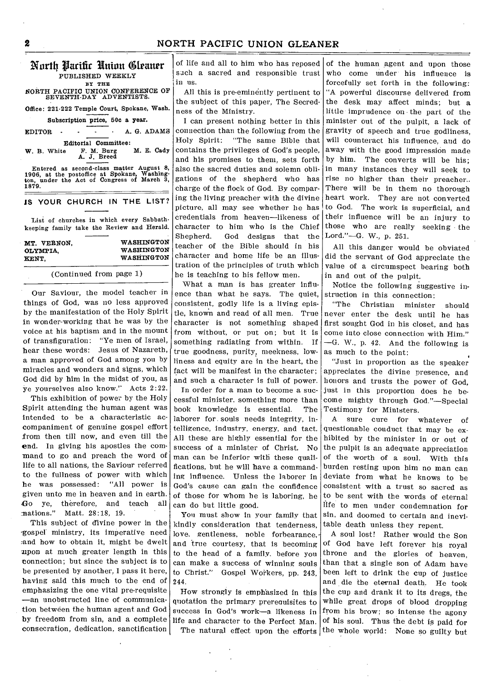# North Parific Union Cleaner

PUBLISHED WEEKLY

BY THE NORTH PACIFIC UNION CONFERENCE OF SEVENTH-DAY ADVENTISTS.

Office: 221-222 Temple Court, Spokane, Wash.

Subscription price, 50c a year.

EDITOR - - - A. G. ADAMS

Editorial Committee:<br>W. B. White F. M. Burg M. E. Cady **W. B.** White F. M. Burg M. E. Cady A. J. Breed

Entered as second-class matter August 8, 1906, at the postoffice at Spokane, Washing-ton, under the Act of Congress of March 3, 1879.

#### **1S YOUR CHURCH IN THE LIST?**

List of churches in which every Sabbathkeeping family take the Review and Herald.

| MT. VERNON. | WASHINGTON        |
|-------------|-------------------|
| OLYMPIA,    | <b>WASHINGTON</b> |
| KENT.       | <b>WASHINGTON</b> |
|             |                   |

#### (Continued from page 1)

Our Saviour, the model teacher in things of God, was no less approved by the manifestation of the Holy Spirit in wonder-working that he was by the voice at his baptism and in the mount of transfiguration: "Ye men of Israel, hear these words: Jesus of Nazareth, a man approved of God among you by miracles and wonders and signs, which God did by him in the midst of you, as ye yourselves also know." Acts 2:22.

This exhibition of power by the Holy Spirit attending the human agent was intended to be a characteristic accompaniment of genuine gospel effort from then till now, and even till the end. In giving his apostles the command to go and preach the word of life to all nations, the Saviour referred to the fullness of power with which<br>he was possessed: "All power is he was possessed: given unto me in heaven and in earth. Go ye, therefore, and teach all nations." Matt. 28:18, 19. Matt. 28:18, 19.

This subject of divine power in the -gospel ministry, its imperative need and how to obtain it, might be dwelt mpon at much greater length in this connection; but since the subject is to be presented by another. I pass it here, having said this much to the end of emphasizing the one vital pre-requisite —an unobstructed line of communication between the human agent and God by freedom from sin, and a complete consecration, dedication, sanctification of life and all to him who has reposed sach a sacred and responsible trust in us.

All this is pre-eminently pertinent to the subject of this paper, The Secredness of the Ministry.

I can present nothing better in this connection than the following from the Holy Spirit: "The same Bible that contains the privileges of God's people, and his promises to them, sets forth also the sacred duties and solemn obligations of the shepherd who has charge of the flock of God. By comparing the living preacher with the divine picture, all may see whether he has credentials from heaven—likeness of character to him who is the Chief Shepherd. God designs that the teacher of the Bible should in his character and home life be an illustration of the principles of truth which he is teaching to his fellow men.

What a man is has greater influence than what he says. The quiet, consistent, godly life is a living epistle, known and read of all men. True character is not something shaped from without, or put on; but it is something radiating from within. If true goodness, purity, meekness, lowliness and equity are in the heart, the fact will be manifest in the character; and such a character is full of power.

In order for a man to become a successful minister, something more than book knowledge is essential. The laborer for souls needs integrity, intelligence, industry, energy, and tact. All these are highly essential for the success of a minister of Christ. No man can be inferior with these qualifications, but he will have a commanding influence. Unless the laborer in God's cause can gain the confidence of those for whom he is laboring, he can do but little good.

You must show in your family that kindly consideration that tenderness, love, gentleness, noble forbearance, and true courtesy, that is becoming to the head of a family. before you can make a success of winning souls to Christ." Gospel Workers, pp. 243. 244.

How strongly is emphasized in this quotation the primary prerequisites to success in God's work—a likeness in life and character to the Perfect Man. The natural effect upon the efforts

of the human agent and upon those who come under his influence is forcefully set forth in the following: "A powerful discourse delivered from the desk may affect minds; but a little imprudence on the part of the minister out of the pulpit, a lack of gravity of speech and true godliness, will counteract his influence, and do away with the good impression made by him. The converts will be his; in many instances they will seek to rise no higher than their preacher.. There will be in them no thorough heart work. They are not converted to God. The work is superficial, and their influence will be an injury to those who are really seeking the Lord."—G. W., p. 251.

All this danger would be obviated did the servant of God appreciate the value of a circumspect bearing both in and out of the pulpit.

Notice the following suggestive instruction in this connection:

"The Christian minister should never enter the desk until he has first sought God in his closet, and has come into close connection with Him." —G. W., p. 42. And the following is as much to the point:

"Just in proportion as the speaker appreciates the divine presence, and honors and trusts the power of God, just in this proportion does he become mighty through God."—Special Testimony for Ministers.

A sure cure for whatever of questionable conduct that may be exhibited by the minister in or out of the pulpit is an adequate appreciation of the worth of a soul. With this burden resting upon him no man can deviate from what he knows to be consistent with a trust so sacred as to be sent with the words of eternal fife to men under condemnation for sin, and doomed to certain and inevitable death unless they repent.

A soul lost! Rather would the Son of God have left forever his royal throne and the glories of heaven, than that a single son of Adam have been left to drink the cup of justice and die the eternal death. He took the cup and drank it to its dregs, the while great drops of blood dropping from his brow; so intense the agony of his soul. Thus the debt is paid for the whole world: None so guilty but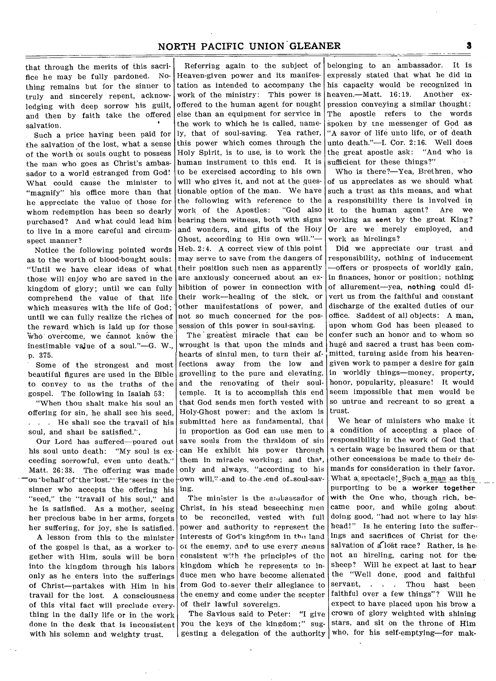that through the merits of this sacrifice he may be fully pardoned. Nothing remains but for the sinner to truly and sincerely repent, acknowledging with deep sorrow his guilt, and then by faith take the offered salvation.

Such a price having been paid for the salvation of the lost, what a sense of the worth or souls ought to possess the man who goes as Christ's ambassador to a world estranged from God! What could cause the minister to "magnify" his office more than that he appreciate the value of those for whom redemption has been so dearly purchased? And what could lead him to live in a more careful and circumspect manner?

Notice the following pointed words as to the worth of blood-bought souls: "Until we have clear ideas of what those will enjoy who are saved in the kingdom of glory; until we can fully comprehend the value of that life which measures with the life of God; until we can fully realize the riches of the reward which is laid up for those who overcome, we cannot know the inestimable value of a soul."—G. W., p. 375.

Some of the strongest and most beautiful figures are used in the Bible to convey to us the truths of the gospel. The following in Isaiah 53:

"When thou shalt make his soul an offering for sin, he shall see his seed, . . . He shall see the travail of his soul, and shall be satisfied.'',

Our Lord has suffered—poured out his soul unto death: "My soul is exceeding sorrowful, even unto death." Matt. 26:38. The offering was made -on-behalf of the-lost. He sees in the sinner who accepts the offering his "seed," the "travail of his soul," and he is satisfied. As a mother, seeing her precious babe in her arms, forgets her suffering, for joy, she is satisfied.

A lesson from this to the minister of the gospel is that, as a worker together with Him, souls will be born into the kingdom through his labors only as he enters into the sufferings of Christ—partakes with Him in his travail for the lost. A consciousness of this vital fact will preclude everything in the daily life or in the work done in the desk that is inconsistent with his solemn and weighty trust.

Referring again to the subject of Heaven-given power and its manifestation as intended to accompany the work of the ministry: This power is offered to the human agent for nought else than an equipment for service in the work to which he is called, namely, that of soul-saving. Yea rather, this power which comes through the Holy Spirit, is to use, is to work the human instrument to this end. It is to be exercised according to his own will who gives it, and not at the **ques**tionable option of the man. We have the following with reference to the work of the Apostles: "God also bearing them witness, both with signs and wonders, and gifts of the Holy Ghost, according to His own will."— Heb. 2:4. A correct view of this point may serve to save from the dangers of their position such men as apparently are anxiously concerned about an exhibition of power in connection with their work—healing of the sick, or other manifestations of power, and not so much concerned for the possession of this power in soul-saving.

The greatest miracle that can be wrought is that upon the minds and hearts of sinful men, to turn their affections away from the low and grovelling to the pure and elevating, and the renovating of their soultemple. It is to accomplish this end that God sends men forth vested with Holy-Ghost power: and the axiom is submitted here as fundamental, that in proportion as God can use men to save souls from the thraldom of sin can He exhibit his power through them in miracle working; and that, only and always, "according to his -own will," and to the end of soul-saving.

The minister is the anabassador of Christ, in his stead beseeching men to be reconciled, vested with full power and authority to represent the interests of God's kingdom in the land or the enemy, and to use every means consistent with the principles of the kingdom which he represents to induce men who have become alienated from God to.sever their allegiance to the enemy and come under the scepter of their lawful sovereign.

The Savious said to Peter: "I give you the keys of the kingdom;" suggesting a delegation of the authority

belonging to an ambassador. It is expressly stated that what he did in his capacity would be recognized in heaven.—Matt. 16:19. Another expression conveying a similar thought: The apostle refers to the words spoken by tne messenger of God as "A savor of life unto life, or of death unto death."—I. Cor. 2:16. Well does the great apostle ask: "And who is sufficient for these things?"

Who is there?—Yea, Brethren, who of us appreciates as we should 'what such a trust as this means, and what a responsibility there is involved in it to the human agent? Are we working as sent by the great King? Or are we merely employed, and work as hirelings?

Did we appreciate our trust and responsibility, nothing of inducement —offers or prospects of worldly gain, in finances, honor or position; nothing of allurement—yea, nothing could divert us from the faithful and constant discharge of the exalted duties of our office. Saddest of all objects: A man, upon whom God has been pleased to confer such an honor and to whom so huge and sacred a trust has been committed, turning aside from his heavengiven work to pamper a desire for gain in worldly things—money, property, honor, popularity, pleasure! It would seem impossible that men would be so untrue and recreant to so great a trust.

We hear of ministers who make it a condition of accepting a place of responsibility in the work of God that a certain wage be insured them or that other concessions be made to their demands for consideration in their favor. What a spectacle! Such a man as this purporting to be a worker together with the One who, though rich, became poor, and while going about: doing good, "had not where to lay his.. head!" Is he entering into the suffer- ings and sacrifices of Christ for the. salvation of a lost race? Rather, is henot an hireling, caring not for the: sheep? Will he expect at last to hear the "Well done, good and faithful servant, . . . Thou hast been faithful over a few things"? Will he expect to have placed upon his brow a crown of glory weighted with shining stars, and sit on the throne of Him who, for his self-emptying—for mak-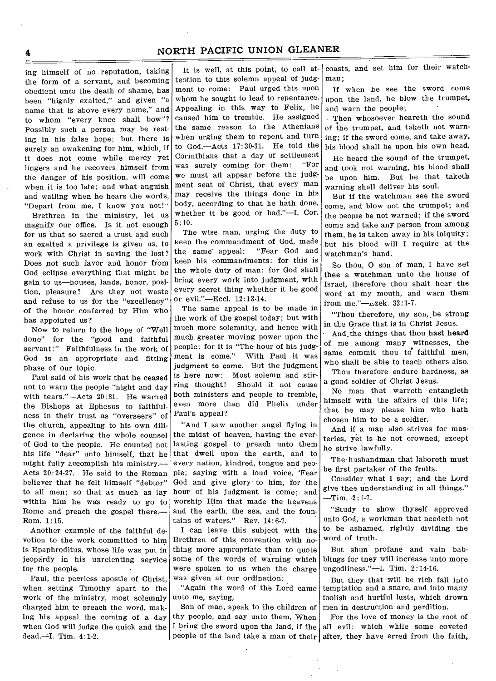ing himself of no reputation, taking the form of a servant, and becoming obedient unto the death of shame, has been "hignly exalted," and given "a name that is above every name," and to whom "every knee shall bow"? Possibly such a person may be resting in his false hope; but there is surely an awakening for him, which, if it does not come while mercy yet lingers and he recovers himself from the danger of his position, will come when it is too late; and what anguish and wailing when he hears the words, "Depart from me, I know you not!"

Brethren in the ministry, let us magnify our office. Is it not enough for us that so sacred a trust and such an exalted a privilege is given us, to work with Christ in saving the lost? Does pot such favor and honor from God eclipse everything that might be gain to us—houses, lands, honor, position, pleasure? Are they not waste and refuse to us for the "excellency" of the honor conferred by Him who has appointed us?

Now to return to the hope of "Well done" for the "good and faithful servant:" Faithfulness in the work of God is an appropriate and fitting phase of our topic.

Paul said of his work that he ceased not to warn the people "night and day with tears."—Acts 20:31. He warned the Bishops at Ephesus to faithfulness in their trust as "overseers" of the church, appealing to his own diligence in declaring the whole counsel of God to the people. He counted not his life "dear" unto himself, that he might fully accomplish his ministry.-Acts 20:24-27. He said to the Roman believer that he felt himself "debtor" to all men; so that as much as lay within him he was ready to go to Rome and preach the gospel there.— Rom. 1:15.

Another example of the faithful devotion to the work committed to him is Epaphroditus, whose life was put in jeopardy in his unrelenting service for the people.

Paul, the peerless apostle of Christ, when setting Timothy apart to the work of the ministry, most solemnly charged him to preach the word, making his appeal the coming of a day when God will judge the quick and the dead.=-I. Tim. 4:1-2.

It is well, at this point, to call attention to this solemn appeal of judgment to come: Paul urged this upon whom he sought to lead to repentance. Appealing in this way to Felix, he caused him to tremble. He assigned the same reason to the Athenians when urging them to repent and turn to God.—Acts 17:30-31. He told the Corinthians that a day of settlement<br>was surely coming for them: "For was surely coming for them: we must all appear before the judgment seat of Christ, that every man may receive the things done in his body, according to that he hath done, whether it be good or bad."—I. Cor. 5:10.

The wise man, urging the duty to keep the commandment of God, made the same appeal: "Fear God and keep his commandments: for this is the whole duty of man: for God shall bring every work into judgment, with every secret thing whether it be good or evil."—Eccl. 12:13-14.

The same appeal is to be made in the work of the gospel today; but with much more solemnity, and hence with much greater moving power upon the people: for it is "The hour of his judgment is come." With Paul it was judgment to come. But the judgment is here now: Most solemn and stirring thought! Should it not cause both ministers and people to tremble, even more than did Phelix under Paul's appeal?

'"And I saw another angel flying in the midst of heaven, having the everlasting gospel to preach unto them that dwell upon the earth, and to every nation, kindred, tongue and people; saying with a loud voice, 'Fear God and give glory to him, for the hour of his judgment is come; and worship Him that made the heavens and the earth, the sea, and the fountains of waters."—Rev. 14:6-7.

I can leave this subject with the Brethren of this convention with nothing more appropriate than to quote some of the words of warning which were spoken to us when the charge was given at our ordination:

"Again the word of the Lord came unto me, saying,

Son of man, speak to the children of thy people, and say unto them, When I bring the sword upon the land, if the people of the land take a man of their after, they have erred from the faith,

coasts, and set him for their watchman;

If when he see the sword come upon the land, he blow the trumpet, and warn the people;

• Then whosoever heareth the sound of the trumpet, and taketh not warning; if the sword come, and take away, his blood shall be upon his own head.

He heard the sound of the trumpet, and took not warning, his blood shall be upon him. But he that taketh warning shall deliver his soul.

But if the watchman see the sword come, and blow not the trumpet; and the people be not warned; if the sword come and take any person from among them, he is taken away in his iniquity; but his blood will I require at the watchman's hand.

So thou, 0 son of man, I have set thee a watchman unto the house of Israel, therefore thou shalt hear the word at my mouth, and warn them from me."--11,zek. 33:1-7.

"Thou therefore, my son,, be strong in the Grace that is in Christ Jesus.

And\_the things that thou hast heard of me among many witnesses, the same commit thou to faithful men, who shall be able to teach others also.

Thou therefore endure hardness, as a good soldier of Christ Jesus.

No man that warreth entangleth himself with the affairs of this life; that he may please him who hath chosen him to be a soldier.

And if a man also strives for masteries, yet is he not crowned, except he strive lawfully.

The husbandman that laboreth must be first partaker of the fruits.

Consider what I say; and the Lord give thee understanding in all things."  $-Tim. 2:1.7.$ 

"Study to show thyself approved unto God, a workman that needeth not to be ashamed, rightly dividing the word of truth.

But shun profane and vain babblings for they will increase unto more ungodliness."—I. Tim. 2:14-16.

But they that will be rich fall into temptation and a snare, and into many foolish and hurtful lusts, which drown men in destruction and perdition.

For the love of money is the root of all evil: which while some coveted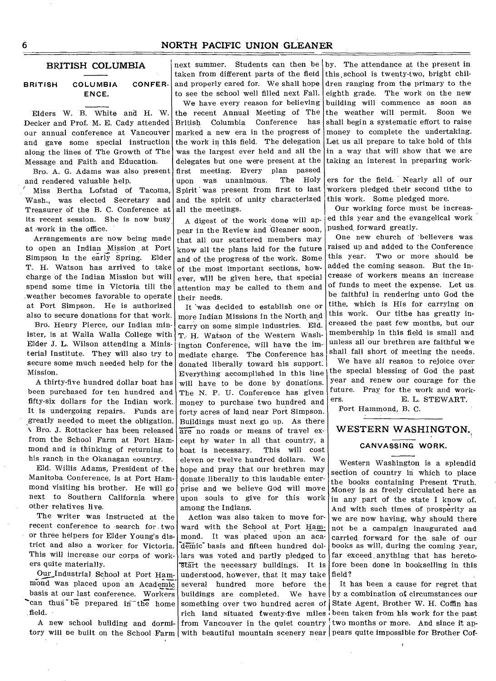#### **BRITISH COLUMBIA**

#### **BRITISH COLUMBIA CONFER-ENCE.**

Elders W. B. White and H. W. Decker and Prof. M. E. Cady attended our annual conference at Vancouver and gave some special instruction along the lines of The Growth of The Message and Faith and Education.

Bro. A. G. Adams was also present and rendered valuable help.

Miss Bertha Lofstad of Tacoma, Wash., was elected Secretary and Treasurer of the B. C. Conference at its recent session. She is now busy at work in the office.

Arrangements are now being made to open an Indian \_Mission at Port Simpson in the early Spring. Elder T. H. Watson has arrived to take charge of the Indian Mission but will spend some time in Victoria till the weather becomes favorable to operate at Port Simpson. He is authorized also to secure donations for that work.

Bro. Henry Pierce, our Indian minister, is at Walla Walla College with Elder J. **L.** Wilson attending a Ministerial Institute. They will also try to secure some much needed help for the Mission.

A thirty-five hundred dollar boat has been purchased for ten hundred and fifty-six dollars for the Indian work. It is undergoing repairs. Funds are greatly needed to meet the obligation. \ Bro. J. Rottacker has been released from the School Farm at Port Hammond and is thinking of returning to his ranch in the Okanagan country.

Eld. Willis Adams, President of the Manitoba Conference, is at Port Hammond visiting his brother. He will go next to Southern California where other relatives live.

The writer was instructed at the recent conference to search for. two or three helpers for Elder Young's district and also a worker for Victoria. This will increase our corps of workers quite materially.

Our\_Industrial School at Port Hammond was placed upon an Academic basis at our last conference. Workers 'can thus be prepared in the home field.

A new school building and dormi-

next summer. Students can then be taken from different parts of the field and properly cared for. We shall hope to see the school well filled next Fall.

We have every reason for believing the recent Annual Meeting of The British Columbia Conference has marked a new era in the progress of the work in this field. The delegation was the largest ever held and all the delegates but one were present at the first meeting. Every plan passed upon was unanimous. The Holy Spirit was present from first to last and the spirit 'of unity characterized all the meetings.

A digest of the work done will appear in the Review and Gleaner soon, that all our scattered members may know all the plans laid for the future and of the progress of the work. Some of the most important sections, however, will be given here, that special attention may be called to them and their needs.

It was decided to establish one or more Indian Missions in the North and carry on some simple industries. Eld. T. H. Watson of the Western Washington Conference, will have the immediate charge. The Conference has donated liberally toward his support. Everything accomplished in this line will have to be done by donations. The N. P. U. Conference has given money to purchase two hundred and forty acres of land near Port Simpson. Buildings must next go up. As there are no roads or means of travel except by water in all that country, a<br>boat is necessary. This will cost boat is necessary. eleven or twelve hundred dollars. We hope and pray that our brethren may donate liberally to this laudable enterprise and we believe God will move upon souls to give for this work among the Indians.

Action was also taken to move forward with the School at Port Hammond. It was placed upon an aca demic basis and fifteen hundred dollars was voted and partly pledged to start the necessary buildings. It is understood, however, that it may take several hundred more before the tory will be built on the School Farm with beautiful mountain scenery near pears quite impossible for Brother Cof-

by. The attendance at the present in this, school is twenty-two, bright children ranging from the primary to the eighth grade. The work on the new building will commence as soon as the weather will permit. Soon we shall begin a systematic effort to raise money to complete the undertaking. Let us all prepare to take hold of this in a way that will show that we are taking an interest in preparing work-

ers for the field. Nearly all of our workers pledged their second tithe to this work. Some pledged more.

Our working force must be increased this year and the evangelical work pushed forward greatly.

One new church of 'believers was raised up and added to the Conference this year. Two or more should be added the coming season. But the increase of workers means an increase of funds to meet the expense. Let us be faithful in rendering unto God the tithe, which is His for carrying on this work. Our tithe has greatly increased the past few months, but our membership in this field is small and unless all our brethren are faithful we shall fall short of meeting the needs.

We have all reason to rejoice over the special blessing of God the past year and renew our courage for the future. Pray for the work and workers. E. L. STEWART.

Port Hammond, B. C.

# **WESTERN WASHINGTON.,**

#### **CANVASSING WORK.**

Western Washington is a splendid section of country in which to place the books containing Present Truth. Money is as freely circulated here as in any part of the state I know of. And with such times of prosperity as we are now having, why should there not be a campaign inaugurated and carried forward for the sale of our books as will, during the coming year, far exceed anything that has heretofore been done in bookselling in this field?

buildings are completed. We have by a combination of circumstances our something over two hundred acres of State Agent, Brother W. H. Coffin has rich land situated twenty-five miles been taken from his work for the past from Vancouver in the quiet country two months or more. And since it ap-It has been a cause for regret that

t

6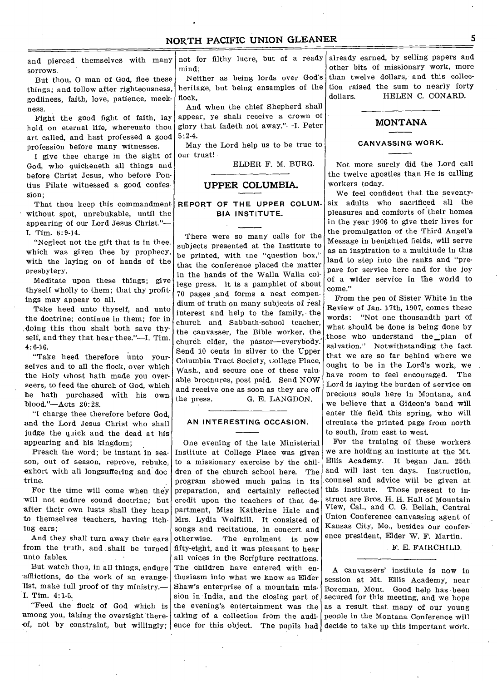and pierced themselves with many sorrows.

But thou, 0 man of God, flee these things; and follow after righteousness, godliness, faith, love, patience, meekness.

Fight the good fight of faith, lay hold on eternal life, whereunto thou art called, and hast professed a good profession before many witnesses.

I give thee charge in the sight of God, who quickeneth all things and before Christ Jesus, who before Pontius Pilate witnessed a good confession;

That thou keep this commandment without spot, unrebukable, until the appearing of our Lord Jesus Christ."— I. Tim. 6:9-14.

"Neglect not the gift that is in thee, which was given thee by prophecy, with the laying on of hands of the presbytery.

Meditate upon these things; give thyself wholly to them; that thy profitings may appear to all.

Take heed unto thyself, and unto the doctrine; continue in them; for in .doing this thou shalt both, save thyself, and they that hear thee."—I. Tim. 4:6-16.

"Take heed therefore unto yourselves and to all the flock, over which the Holy ghost hath made you overseers, to feed the church of God, which he hath purchased with his own blood."—Acts 20:28.

"I charge thee therefore before God, and the Lord Jesus Christ who shall judge the quick and the dead at his appearing and his kingdom;

Preach the word; be instant in season, out of season, reprove, rebuke, exhort with all longsuffering and doe trine.

For the time will come when they -will not endure sound doctrine; but after their own lusts shall they heap to themselves teachers, having itching ears;

And they shall turn away their ears from the truth, and shall be turned unto fables.

But watch thou, in all things, endure afflictions, do the work of an evangelist, make full proof of thy ministry.— I. Tim. 4:1-5.

"Feed the flock of God which is among you, taking the oversight thereof, not by constraint, but willingly; ence for this object. The pupils had

not for filthy lucre, but of a ready mind;

Neither as being lords over God's heritage, but being ensamples of the flock,

And when the chief Shepherd shall appear, ye shall receive a crown of glory that fadeth not away."—I. Peter 5:2-4.

May the Lord help us to be true to our trust!

ELDER F. M. BURG.

## **UPPER COLUMBIA.**

## **REPORT OF THE UPPER COLUM-BIA INSTITUTE.**

There were so many calls for the subjects presented at the Institute to be printed, with tne "question box," that the conference placed the matter in the hands of the Walla Walla college press. it is a pamphlet of about 70 pages .and forms a neat compendium of truth on many subjects of real interest and help to the family, the church and Sabbath-school teacher, the canvasser, the Bible worker, the church elder, the pastor-everybody. Send 10 cents in silver to the Upper Columbia Tract Society, college Place, Wash., and secure one of these valuable brochures, post paid. Send NOW and receive one as soon as they are off<br>the press. G. E. LANGDON. G. E. LANGDON.

#### **AN INTERESTING OCCASION.**

One evening of the late Ministerial Institute at College Place was given to a missionary exercise by the children of the church school here. The program showed much pains in its preparation, and certainly reflected credit upon the teachers of that department, Miss Katherine Hale and Mrs. Lydia Wolfkill. It consisted of songs and recitations, in concert and<br>otherwise. The enrolment is now The enrolment is now fifty-eight, and it was pleasant to hear all voices in the Scripture recitations. The children have entered with enthusiasm into what we know as Elder Shaw's enterprise of a mountain mission in India, and the closing part of the evening's entertainment was the taking of a collection from the audialready earned, by selling papers and other bits of missionary work, more than twelve dollars, and this collection raised the sum to nearly forty dollars. **HELEN C. CONARD.** 

## **MONTANA**

#### **CANVASSING WORK.**

Not more surely did the Lord call the twelve apostles than He is calling workers today.

We feel confident that the seventysix adults who sacrificed all the pleasures and comforts of their homes in the year 1906 to give their lives for the promulgation of the Third Angel's Message in benighted fields, will serve as an inspiration to a multitude in this land to step into the ranks and "prepare for service here and for the joy of a wider service in the world to come."

From the pen of Sister White in the Review of Jan. 17th, 1907, comes these words: "Not one thousandth part of what should be done is being done by those who understand the\_plan of salvation." Notwithstanding the fact that we are so far behind where we ought to be in the Lord's work, we have room to feel encouraged. The Lord is laying the burden of service on precious souls here in Montana, and we believe that a Gideon's band will enter the field this spring, who will circulate the printed page from north to south, from east to west.

For the training of these workers we are holding an institute at the Mt. Ellis Academy. It began Jan. 25th and will last ten days. Instruction, counsel and advice will be given at this institute. Those present to instruct are Bros. H. H. Hall of Mountain View, Cal., and C. G. Bellah, Central Union Conference canvassing agent of Kansas City, Mo., besides our conference president, Elder W. F. Martin.

F. E. FAIRCHILD.

A canvassers' institute is now in session at Mt. Ellis Academy, near Bozeman, Mont. Good help has been secured for this meeting, and we hope as a result that many of our young people in the Montana Conference will decide to take up this important work.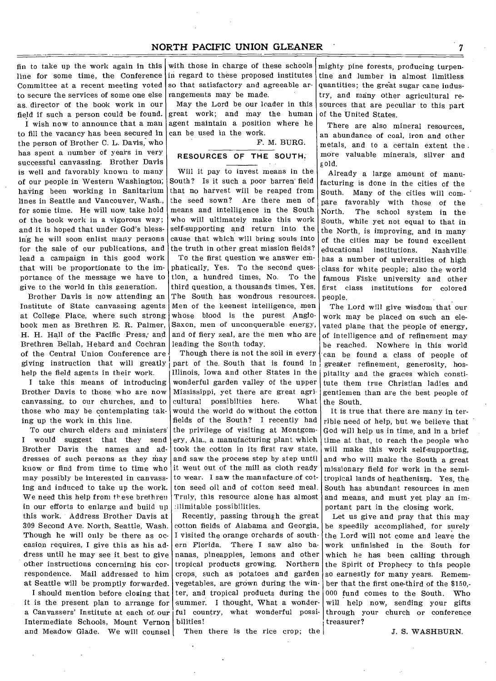fin to take up the work again in this with those in charge of these schools line for some time, the Conference in regard to these proposed institutes Committee at a recent meeting voted to secure the services of some one else as. director of the book work in our field if such a person could be found.

I wish now to announce that a man to fill the vacancy has been secured in the person of Brother C. L. Davis, who has spent a number of years in very successful canvassing. Brother Davis is well and favorably known to many of our people in Western Washington; having been working in Sanitarium lines in Seattle and Vancouver, Wash., for some time. He will now take hold of the book work in a vigorous way; and it is hoped that under God's blessing he will soon enlist many persons for the sale of our publications, and lead a campaign in this good work that will be proportionate to the importance of the message we have to give to the world in this generation.

Brother Davis is now attending an Institute of State canvassing agents at College Place, where such strong book men as Brethren E. R. Palmer, H. H. Hall of the Pacific Press; and Brethren Bellah, Hebard and Cochran of the Central Union Conference are giving instruction that will greatly help the field agents in their work.

I take this means of introducing Brother Davis to those who are now canvassing, to our churches, and to those who may be contemplating taking up the work in this line.

To our church elders and ministers' I would suggest that they send Brother Davis the names and addresses of such persons as they may know or find from time to time who may possibly be interested in canvassing and induced to take up the work. We need this help from these brethren in our efforts to enlarge and build up this work. Address Brother Davis at 309 Second Ave. North, Seattle, Wash. Though he will only be there as occasion requires, I give this as his address until he may see it best to give other instructions concerning his correspondence. Mail addressed to him at Seattle will be promptly forwarded.

I should mention before closing that it is the present plan to arrange for a Canvassers' Institute at each of. our Intermediate Schools, Mount Vernon and Meadow Glade. We will counsel

so that satisfactory and agreeable arrangements may be made.

May the Lord be our loader in this great work; and may the human agent maintain a position where he can be used in the work.

F. M. BURG.

## **RESOURCES OF THE SOUTH.**

Will it pay to invest means in the South? Is it such a poor barren' field that no harvest will be reaped from the seed sown? Are there men of means and intelligence in the South who will ultimately make this work self-supporting and return into the cause that which will bring souls into the truth in other great mission fields?

To the first question we answer emphatically, Yes. To the second question, a hundred times, No. To the third question, a thousands times, Yes. The South has wondrous resources. Men of the keenest intelligence, men whose blood is the purest Anglo-Saxon, men of unconquerable energy, and of fiery zeal, are the men who are leading the South today.

Though there is not the soil in every part of the. South that is found in Illinois, Iowa and other States in the wonderful garden valley of the upper Mississippi, yet there are great agricultural possibilties here. What would the world do without the cotton fields of the South? I recently had the privilege of visiting at Montgomery, Ala., a manufacturing plant which took the cotton in its first raw state, and saw the process step by step until it went out of the mill as cloth ready to wear. 1 saw the manufacture of cotton seed oil and of cotton seed meal. Truly, this resource alone has almost :Ilimitable possibilities.

Recently, passing through the great cotton fields of Alabama and Georgia, I visited the orange orchards of southern Florida. 'There I saw also bananas, pineapples, lemons and other tropical products growing. Northern crops, such as potatoes and garden vegetables, are grown during the winter, and tropical products during the summer. I thought, What a wonderful country, what wonderful possibilities!

Then there is the rice crop; the

mighty pine forests, producing turpentine and lumber in almost limitless quantities; the great sugar cane industry, and many other agricultural resources that are peculiar to this part of the United States.

There are also mineral resources, an abundance of coal, iron and other metals, and to a certain extent the more valuable minerals, silver and gold.

Already a large amount of manufacturing is done in the cities of the South. Many of the cities will compare favorably with those of the<br>North. The school system in the The school system in the South, while yet not equal to that in the North, is improving, and in many of the cities may be found excellent educational institutions. Nashville has a number of universities of high class for white people; also the world fa,mous Fiske university and other first class institutions for colored people.

The Lord will give wisdom that our work may be placed on such an elevated plane that the people of energy, of intelligence and of refinement may be reached. Nowhere in this world can be found a class of people of greater refinement, generosity, hospitality and the graces which constitute them true Christian ladies and gentlemen than are the best people of the South.

It is true that there are many in terrible need of help, but we believe that God will help us in time, and in a brief time at that, to reach the people who will make this work self-supporting, and who will make the South a great missionary field for work in the semitropical lands of heathenism. Yes, the South has abundant resources in men and means, and must yet play an important part in the closing work.

Let us give and pray that this may be speedily accomplished, for surely the Lord will not come and leave the work unfinished in the South for which he has been calling through the Spirit of Prophecy to this people so earnestly for many years. Remember that the first one-third of the \$150,- 000 fund comes to the South. Who will help now, sending your gifts through your church or conference treasurer?

J. S. WASHBURN.